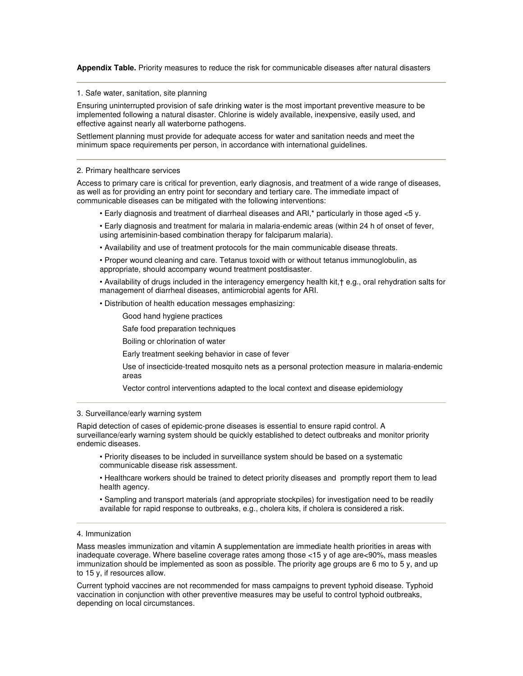**Appendix Table.** Priority measures to reduce the risk for communicable diseases after natural disasters

1. Safe water, sanitation, site planning

Ensuring uninterrupted provision of safe drinking water is the most important preventive measure to be implemented following a natural disaster. Chlorine is widely available, inexpensive, easily used, and effective against nearly all waterborne pathogens.

Settlement planning must provide for adequate access for water and sanitation needs and meet the minimum space requirements per person, in accordance with international guidelines.

## 2. Primary healthcare services

Access to primary care is critical for prevention, early diagnosis, and treatment of a wide range of diseases, as well as for providing an entry point for secondary and tertiary care. The immediate impact of communicable diseases can be mitigated with the following interventions:

- Early diagnosis and treatment of diarrheal diseases and ARI,\* particularly in those aged <5 y.
- Early diagnosis and treatment for malaria in malaria-endemic areas (within 24 h of onset of fever, using artemisinin-based combination therapy for falciparum malaria).
- Availability and use of treatment protocols for the main communicable disease threats.
- Proper wound cleaning and care. Tetanus toxoid with or without tetanus immunoglobulin, as appropriate, should accompany wound treatment postdisaster.

• Availability of drugs included in the interagency emergency health kit,† e.g., oral rehydration salts for management of diarrheal diseases, antimicrobial agents for ARI.

- Distribution of health education messages emphasizing:
	- Good hand hygiene practices
	- Safe food preparation techniques
	- Boiling or chlorination of water
	- Early treatment seeking behavior in case of fever

Use of insecticide-treated mosquito nets as a personal protection measure in malaria-endemic areas

Vector control interventions adapted to the local context and disease epidemiology

## 3. Surveillance/early warning system

Rapid detection of cases of epidemic-prone diseases is essential to ensure rapid control. A surveillance/early warning system should be quickly established to detect outbreaks and monitor priority endemic diseases.

- Priority diseases to be included in surveillance system should be based on a systematic communicable disease risk assessment.
- Healthcare workers should be trained to detect priority diseases and promptly report them to lead health agency.
- Sampling and transport materials (and appropriate stockpiles) for investigation need to be readily available for rapid response to outbreaks, e.g., cholera kits, if cholera is considered a risk.

## 4. Immunization

Mass measles immunization and vitamin A supplementation are immediate health priorities in areas with inadequate coverage. Where baseline coverage rates among those <15 y of age are<90%, mass measles immunization should be implemented as soon as possible. The priority age groups are 6 mo to 5 y, and up to 15 y, if resources allow.

Current typhoid vaccines are not recommended for mass campaigns to prevent typhoid disease. Typhoid vaccination in conjunction with other preventive measures may be useful to control typhoid outbreaks, depending on local circumstances.